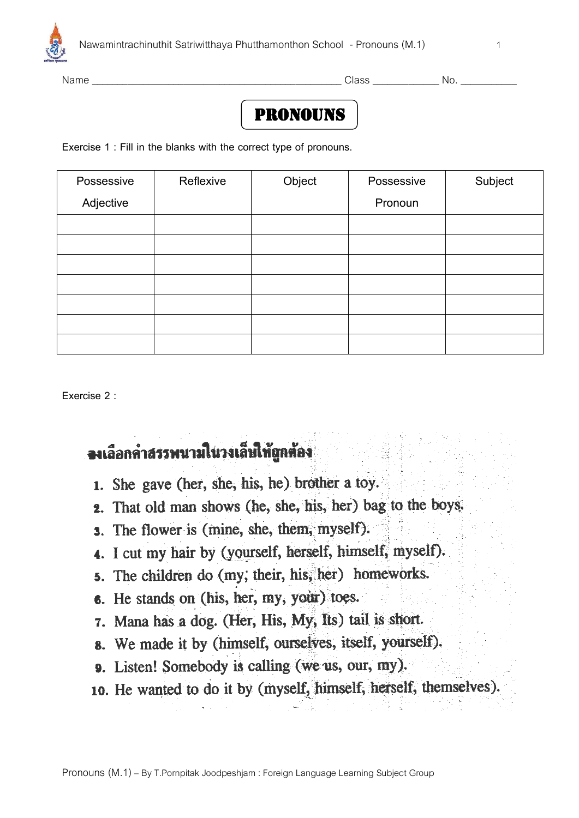

Name \_\_\_\_\_\_\_\_\_\_\_\_\_\_\_\_\_\_\_\_\_\_\_\_\_\_\_\_\_\_\_\_\_\_\_\_\_\_\_\_\_\_\_\_\_\_\_\_\_ Class \_\_\_\_\_\_\_\_\_\_\_\_\_ No. \_\_\_\_\_\_\_\_\_\_\_

## **PRONOUNS**

**Exercise 1 : Fill in the blanks with the correct type of pronouns.**

| Possessive | Reflexive | Object | Possessive | Subject |
|------------|-----------|--------|------------|---------|
| Adjective  |           |        | Pronoun    |         |
|            |           |        |            |         |
|            |           |        |            |         |
|            |           |        |            |         |
|            |           |        |            |         |
|            |           |        |            |         |
|            |           |        |            |         |
|            |           |        |            |         |

**Exercise 2 :** 

## จงเลือกคำสรรพนามในวงเล็บให้ถูกต้อง

- 1. She gave (her, she, his, he) brother a toy.
- 2. That old man shows (he, she, his, her) bag to the boys.
- **3.** The flower is (mine, she, them, myself).
- 4. I cut my hair by (yourself, herself, himself, myself).
- 5. The children do (my, their, his, her) homeworks.
- 6. He stands on (his, her, my, your) toes.
- 7. Mana has a dog. (Her, His, My, Its) tail is short.
- 8. We made it by (himself, ourselves, itself, yourself).
- 9. Listen! Somebody is calling (we us, our, my).
- 10. He wanted to do it by (myself, himself, herself, themselves).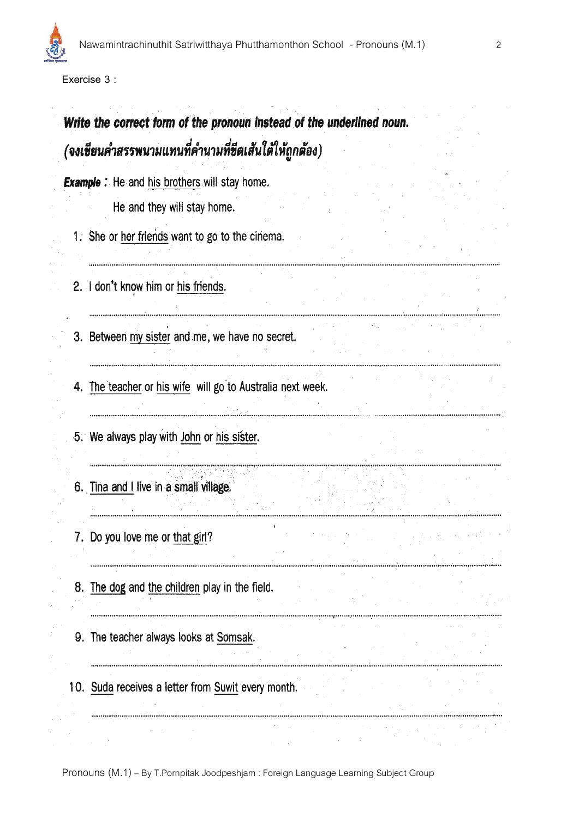**Exercise 3 :**

# Write the correct form of the pronoun instead of the underlined noun. (จงเชียนคำสรรพนามแทนที่คำนามที่ชีดเส้นใต้ให้ถูกต้อง)

angumangang ing mangangang pangangang pangangang pang

**Example :** He and his brothers will stay home.

He and they will stay home.

1. She or her friends want to go to the cinema.

2. I don't know him or his friends.

3. Between my sister and me, we have no secret.

4. The teacher or his wife will go to Australia next week.

5. We always play with John or his sister.

6. Tina and I live in a small village.

7. Do you love me or that girl?

- 8. The dog and the children play in the field.
- 9. The teacher always looks at Somsak.
- 10. Suda receives a letter from Suwit every month.

Pronouns (M.1) – By T.Pornpitak Joodpeshjam : Foreign Language Learning Subject Group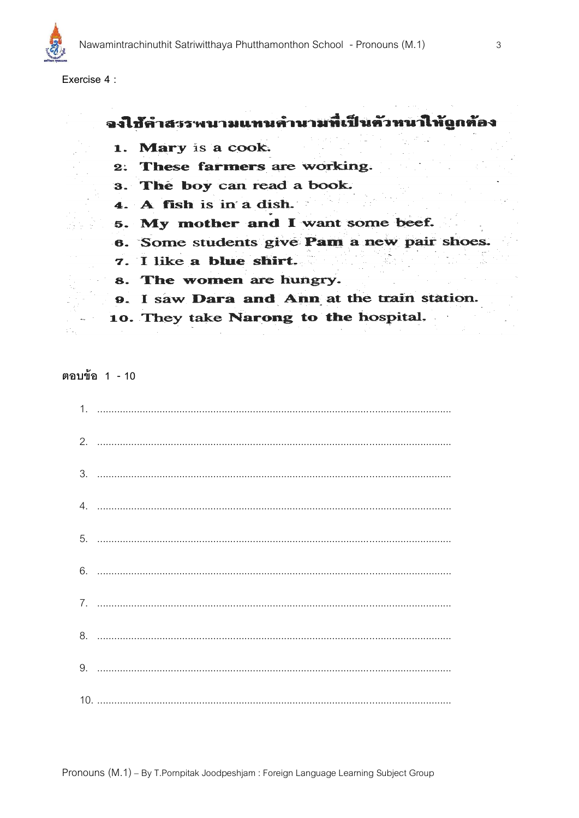

Exercise 4 :

### จงใช้คำสรรพนามแทนคำนามที่เป็นตัวหนาให้ถูกต้อง

- 1. Mary is a cook.
- 2. These farmers are working.
- 3. The boy can read a book.
- 4. A fish is in a dish.
- 5. My mother and I want some beef.
- 6. Some students give Pam a new pair shoes.
- 7. I like a blue shirt.
- 8. The women are hungry.
- 9. I saw Dara and Ann at the train station.
- 10. They take Narong to the hospital.

ตอบข้อ 1 - 10